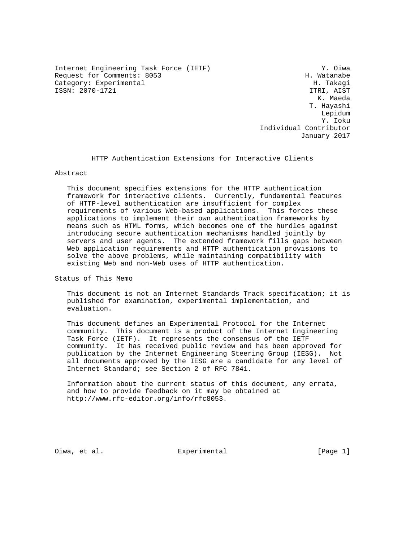Internet Engineering Task Force (IETF) Y. Oiwa Request for Comments: 8053 H. Watanabe<br>Category: Experimental H. Takagi Category: Experimental ISSN: 2070-1721 ITRI, AIST

 K. Maeda T. Hayashi Lepidum Y. Ioku Individual Contributor January 2017

HTTP Authentication Extensions for Interactive Clients

## Abstract

 This document specifies extensions for the HTTP authentication framework for interactive clients. Currently, fundamental features of HTTP-level authentication are insufficient for complex requirements of various Web-based applications. This forces these applications to implement their own authentication frameworks by means such as HTML forms, which becomes one of the hurdles against introducing secure authentication mechanisms handled jointly by servers and user agents. The extended framework fills gaps between Web application requirements and HTTP authentication provisions to solve the above problems, while maintaining compatibility with existing Web and non-Web uses of HTTP authentication.

Status of This Memo

 This document is not an Internet Standards Track specification; it is published for examination, experimental implementation, and evaluation.

 This document defines an Experimental Protocol for the Internet community. This document is a product of the Internet Engineering Task Force (IETF). It represents the consensus of the IETF community. It has received public review and has been approved for publication by the Internet Engineering Steering Group (IESG). Not all documents approved by the IESG are a candidate for any level of Internet Standard; see Section 2 of RFC 7841.

 Information about the current status of this document, any errata, and how to provide feedback on it may be obtained at http://www.rfc-editor.org/info/rfc8053.

Oiwa, et al. Experimental [Page 1]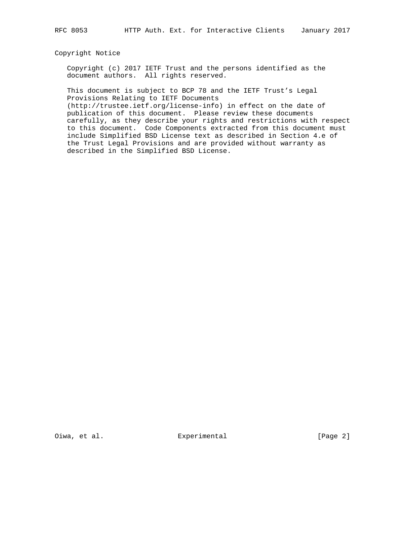#### Copyright Notice

 Copyright (c) 2017 IETF Trust and the persons identified as the document authors. All rights reserved.

 This document is subject to BCP 78 and the IETF Trust's Legal Provisions Relating to IETF Documents

 (http://trustee.ietf.org/license-info) in effect on the date of publication of this document. Please review these documents carefully, as they describe your rights and restrictions with respect to this document. Code Components extracted from this document must include Simplified BSD License text as described in Section 4.e of the Trust Legal Provisions and are provided without warranty as described in the Simplified BSD License.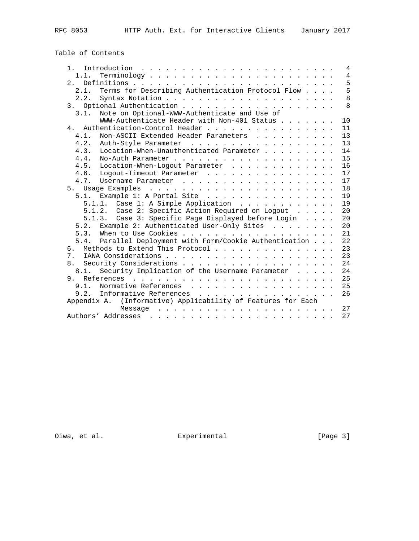# Table of Contents

| Introduction<br>1.                                                                                    |  |  | 4              |
|-------------------------------------------------------------------------------------------------------|--|--|----------------|
| 1.1.                                                                                                  |  |  | $\overline{4}$ |
| 2.1                                                                                                   |  |  | 5              |
| Terms for Describing Authentication Protocol Flow<br>2.1.                                             |  |  | 5              |
| 2.2.                                                                                                  |  |  | 8              |
|                                                                                                       |  |  | 8              |
| Note on Optional-WWW-Authenticate and Use of<br>3.1.                                                  |  |  |                |
| WWW-Authenticate Header with Non-401 Status                                                           |  |  | 10             |
| Authentication-Control Header<br>4                                                                    |  |  | 11             |
| 4.1.<br>Non-ASCII Extended Header Parameters                                                          |  |  | 13             |
| 4.2.<br>Auth-Style Parameter                                                                          |  |  | 13             |
| Location-When-Unauthenticated Parameter<br>4.3.                                                       |  |  | 14             |
| 4.4.                                                                                                  |  |  | 15             |
| 4.5.<br>Location-When-Logout Parameter                                                                |  |  | 16             |
| 4.6.<br>Logout-Timeout Parameter                                                                      |  |  | 17             |
|                                                                                                       |  |  | 17             |
|                                                                                                       |  |  | 18             |
|                                                                                                       |  |  |                |
| Example 1: A Portal Site<br>5.1.                                                                      |  |  | 19             |
| Case 1: A Simple Application<br>5.1.1.                                                                |  |  | 19             |
| 5.1.2. Case 2: Specific Action Required on Logout                                                     |  |  | 20             |
| 5.1.3. Case 3: Specific Page Displayed before Login                                                   |  |  | 20             |
| 5.2. Example 2: Authenticated User-Only Sites                                                         |  |  | 20             |
|                                                                                                       |  |  | 21             |
| 5.4. Parallel Deployment with Form/Cookie Authentication                                              |  |  | 22             |
| Methods to Extend This Protocol<br>რ.                                                                 |  |  | 23             |
| 7 <sup>1</sup>                                                                                        |  |  | 23             |
| 8.                                                                                                    |  |  | 24             |
| Security Implication of the Username Parameter<br>8.1.                                                |  |  | 24             |
| a de la caractería de la caractería de la caractería de la caractería<br>References<br>9 <sub>1</sub> |  |  | 25             |
| 9.1.<br>Normative References                                                                          |  |  | 25             |
| Informative References<br>9.2.<br>.                                                                   |  |  | 26             |
| (Informative) Applicability of Features for Each<br>Appendix A.                                       |  |  |                |
| Message                                                                                               |  |  | 27             |
| Authors' Addresses                                                                                    |  |  | 27             |
|                                                                                                       |  |  |                |

Oiwa, et al. Experimental [Page 3]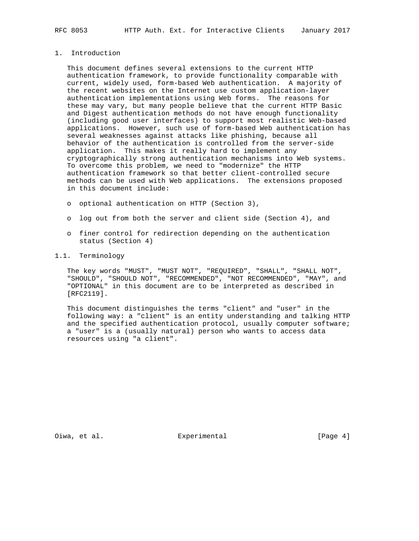## 1. Introduction

 This document defines several extensions to the current HTTP authentication framework, to provide functionality comparable with current, widely used, form-based Web authentication. A majority of the recent websites on the Internet use custom application-layer authentication implementations using Web forms. The reasons for these may vary, but many people believe that the current HTTP Basic and Digest authentication methods do not have enough functionality (including good user interfaces) to support most realistic Web-based applications. However, such use of form-based Web authentication has several weaknesses against attacks like phishing, because all behavior of the authentication is controlled from the server-side application. This makes it really hard to implement any cryptographically strong authentication mechanisms into Web systems. To overcome this problem, we need to "modernize" the HTTP authentication framework so that better client-controlled secure methods can be used with Web applications. The extensions proposed in this document include:

- o optional authentication on HTTP (Section 3),
- o log out from both the server and client side (Section 4), and
- o finer control for redirection depending on the authentication status (Section 4)

# 1.1. Terminology

 The key words "MUST", "MUST NOT", "REQUIRED", "SHALL", "SHALL NOT", "SHOULD", "SHOULD NOT", "RECOMMENDED", "NOT RECOMMENDED", "MAY", and "OPTIONAL" in this document are to be interpreted as described in [RFC2119].

 This document distinguishes the terms "client" and "user" in the following way: a "client" is an entity understanding and talking HTTP and the specified authentication protocol, usually computer software; a "user" is a (usually natural) person who wants to access data resources using "a client".

Oiwa, et al. Subsection Experimental Communication (Page 4)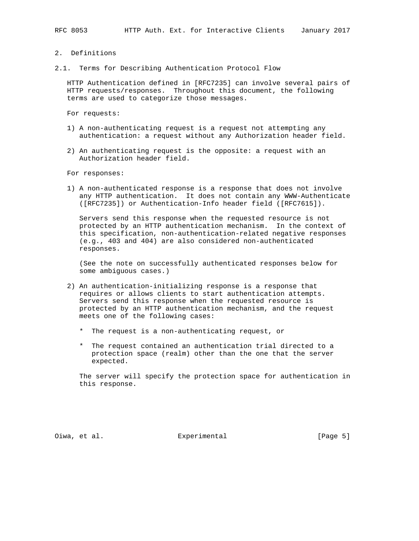#### 2. Definitions

2.1. Terms for Describing Authentication Protocol Flow

 HTTP Authentication defined in [RFC7235] can involve several pairs of HTTP requests/responses. Throughout this document, the following terms are used to categorize those messages.

For requests:

- 1) A non-authenticating request is a request not attempting any authentication: a request without any Authorization header field.
- 2) An authenticating request is the opposite: a request with an Authorization header field.

For responses:

 1) A non-authenticated response is a response that does not involve any HTTP authentication. It does not contain any WWW-Authenticate ([RFC7235]) or Authentication-Info header field ([RFC7615]).

 Servers send this response when the requested resource is not protected by an HTTP authentication mechanism. In the context of this specification, non-authentication-related negative responses (e.g., 403 and 404) are also considered non-authenticated responses.

 (See the note on successfully authenticated responses below for some ambiguous cases.)

- 2) An authentication-initializing response is a response that requires or allows clients to start authentication attempts. Servers send this response when the requested resource is protected by an HTTP authentication mechanism, and the request meets one of the following cases:
	- \* The request is a non-authenticating request, or
	- \* The request contained an authentication trial directed to a protection space (realm) other than the one that the server expected.

 The server will specify the protection space for authentication in this response.

Oiwa, et al. Experimental [Page 5]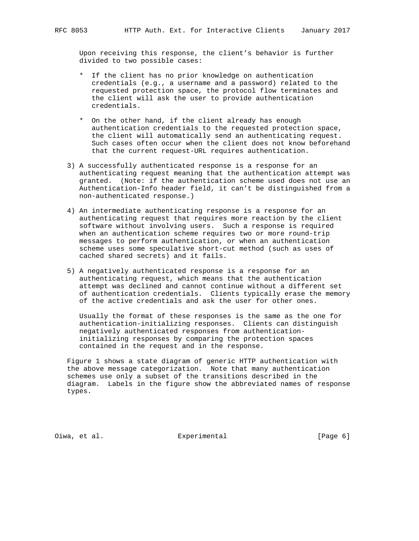Upon receiving this response, the client's behavior is further divided to two possible cases:

- \* If the client has no prior knowledge on authentication credentials (e.g., a username and a password) related to the requested protection space, the protocol flow terminates and the client will ask the user to provide authentication credentials.
- \* On the other hand, if the client already has enough authentication credentials to the requested protection space, the client will automatically send an authenticating request. Such cases often occur when the client does not know beforehand that the current request-URL requires authentication.
- 3) A successfully authenticated response is a response for an authenticating request meaning that the authentication attempt was granted. (Note: if the authentication scheme used does not use an Authentication-Info header field, it can't be distinguished from a non-authenticated response.)
- 4) An intermediate authenticating response is a response for an authenticating request that requires more reaction by the client software without involving users. Such a response is required when an authentication scheme requires two or more round-trip messages to perform authentication, or when an authentication scheme uses some speculative short-cut method (such as uses of cached shared secrets) and it fails.
- 5) A negatively authenticated response is a response for an authenticating request, which means that the authentication attempt was declined and cannot continue without a different set of authentication credentials. Clients typically erase the memory of the active credentials and ask the user for other ones.

 Usually the format of these responses is the same as the one for authentication-initializing responses. Clients can distinguish negatively authenticated responses from authentication initializing responses by comparing the protection spaces contained in the request and in the response.

 Figure 1 shows a state diagram of generic HTTP authentication with the above message categorization. Note that many authentication schemes use only a subset of the transitions described in the diagram. Labels in the figure show the abbreviated names of response types.

Oiwa, et al. Subsection Experimental Communication (Page 6)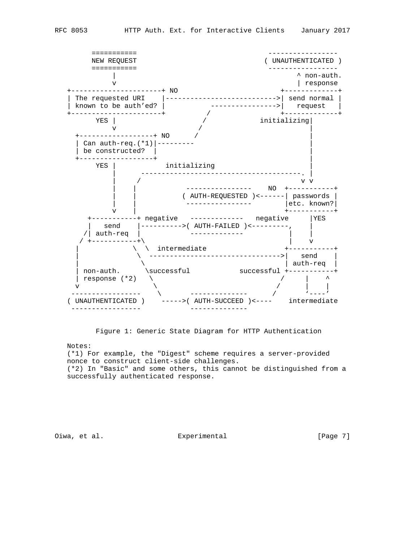



Figure 1: Generic State Diagram for HTTP Authentication

Notes:

 (\*1) For example, the "Digest" scheme requires a server-provided nonce to construct client-side challenges. (\*2) In "Basic" and some others, this cannot be distinguished from a successfully authenticated response.

Oiwa, et al. Experimental [Page 7]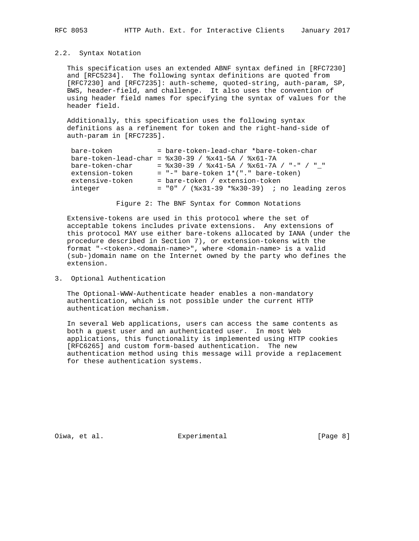#### 2.2. Syntax Notation

 This specification uses an extended ABNF syntax defined in [RFC7230] and [RFC5234]. The following syntax definitions are quoted from [RFC7230] and [RFC7235]: auth-scheme, quoted-string, auth-param, SP, BWS, header-field, and challenge. It also uses the convention of using header field names for specifying the syntax of values for the header field.

 Additionally, this specification uses the following syntax definitions as a refinement for token and the right-hand-side of auth-param in [RFC7235].

| bare-token      | = bare-token-lead-char *bare-token-char                  |
|-----------------|----------------------------------------------------------|
|                 | bare-token-lead-char = $8x30-39$ / $8x41-5A$ / $8x61-7A$ |
| bare-token-char | $=$ $x30-39$ / $x41-5A$ / $x61-7A$ / "-" / " "           |
| extension-token | $=$ "-" bare-token $1*($ "." bare-token)                 |
| extensive-token | = bare-token / extension-token                           |
| integer         | $= 0" /$ (%x31-39 *%x30-39) ; no leading zeros           |
|                 |                                                          |

Figure 2: The BNF Syntax for Common Notations

 Extensive-tokens are used in this protocol where the set of acceptable tokens includes private extensions. Any extensions of this protocol MAY use either bare-tokens allocated by IANA (under the procedure described in Section 7), or extension-tokens with the format "-<token>.<domain-name>", where <domain-name> is a valid (sub-)domain name on the Internet owned by the party who defines the extension.

3. Optional Authentication

 The Optional-WWW-Authenticate header enables a non-mandatory authentication, which is not possible under the current HTTP authentication mechanism.

 In several Web applications, users can access the same contents as both a guest user and an authenticated user. In most Web applications, this functionality is implemented using HTTP cookies [RFC6265] and custom form-based authentication. The new authentication method using this message will provide a replacement for these authentication systems.

Oiwa, et al. Subsection Experimental Communication (Page 8)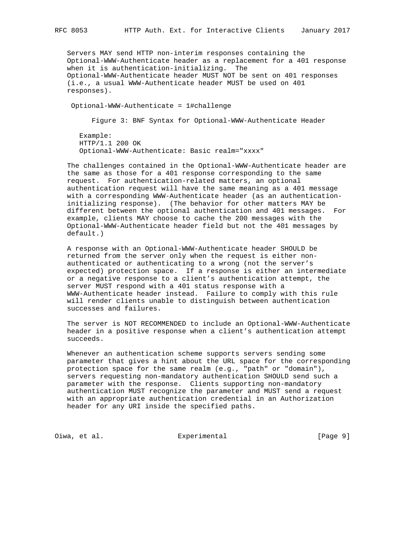Servers MAY send HTTP non-interim responses containing the Optional-WWW-Authenticate header as a replacement for a 401 response when it is authentication-initializing. The Optional-WWW-Authenticate header MUST NOT be sent on 401 responses (i.e., a usual WWW-Authenticate header MUST be used on 401 responses).

Optional-WWW-Authenticate = 1#challenge

Figure 3: BNF Syntax for Optional-WWW-Authenticate Header

 Example: HTTP/1.1 200 OK Optional-WWW-Authenticate: Basic realm="xxxx"

 The challenges contained in the Optional-WWW-Authenticate header are the same as those for a 401 response corresponding to the same request. For authentication-related matters, an optional authentication request will have the same meaning as a 401 message with a corresponding WWW-Authenticate header (as an authentication initializing response). (The behavior for other matters MAY be different between the optional authentication and 401 messages. For example, clients MAY choose to cache the 200 messages with the Optional-WWW-Authenticate header field but not the 401 messages by default.)

 A response with an Optional-WWW-Authenticate header SHOULD be returned from the server only when the request is either non authenticated or authenticating to a wrong (not the server's expected) protection space. If a response is either an intermediate or a negative response to a client's authentication attempt, the server MUST respond with a 401 status response with a WWW-Authenticate header instead. Failure to comply with this rule will render clients unable to distinguish between authentication successes and failures.

 The server is NOT RECOMMENDED to include an Optional-WWW-Authenticate header in a positive response when a client's authentication attempt succeeds.

 Whenever an authentication scheme supports servers sending some parameter that gives a hint about the URL space for the corresponding protection space for the same realm (e.g., "path" or "domain"), servers requesting non-mandatory authentication SHOULD send such a parameter with the response. Clients supporting non-mandatory authentication MUST recognize the parameter and MUST send a request with an appropriate authentication credential in an Authorization header for any URI inside the specified paths.

Oiwa, et al. Experimental [Page 9]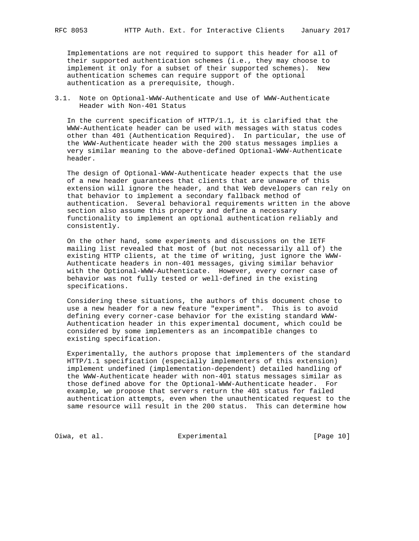Implementations are not required to support this header for all of their supported authentication schemes (i.e., they may choose to implement it only for a subset of their supported schemes). New authentication schemes can require support of the optional authentication as a prerequisite, though.

3.1. Note on Optional-WWW-Authenticate and Use of WWW-Authenticate Header with Non-401 Status

 In the current specification of HTTP/1.1, it is clarified that the WWW-Authenticate header can be used with messages with status codes other than 401 (Authentication Required). In particular, the use of the WWW-Authenticate header with the 200 status messages implies a very similar meaning to the above-defined Optional-WWW-Authenticate header.

 The design of Optional-WWW-Authenticate header expects that the use of a new header guarantees that clients that are unaware of this extension will ignore the header, and that Web developers can rely on that behavior to implement a secondary fallback method of authentication. Several behavioral requirements written in the above section also assume this property and define a necessary functionality to implement an optional authentication reliably and consistently.

 On the other hand, some experiments and discussions on the IETF mailing list revealed that most of (but not necessarily all of) the existing HTTP clients, at the time of writing, just ignore the WWW- Authenticate headers in non-401 messages, giving similar behavior with the Optional-WWW-Authenticate. However, every corner case of behavior was not fully tested or well-defined in the existing specifications.

 Considering these situations, the authors of this document chose to use a new header for a new feature "experiment". This is to avoid defining every corner-case behavior for the existing standard WWW- Authentication header in this experimental document, which could be considered by some implementers as an incompatible changes to existing specification.

 Experimentally, the authors propose that implementers of the standard HTTP/1.1 specification (especially implementers of this extension) implement undefined (implementation-dependent) detailed handling of the WWW-Authenticate header with non-401 status messages similar as those defined above for the Optional-WWW-Authenticate header. For example, we propose that servers return the 401 status for failed authentication attempts, even when the unauthenticated request to the same resource will result in the 200 status. This can determine how

Oiwa, et al. Experimental [Page 10]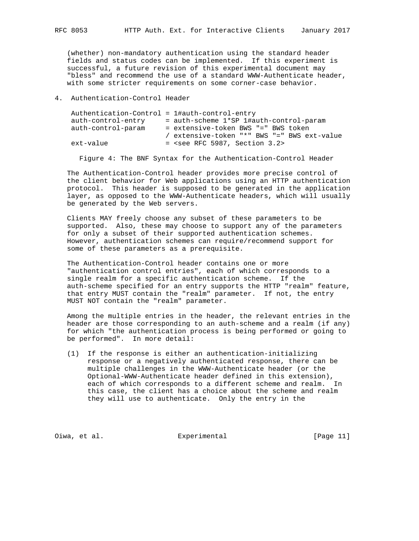(whether) non-mandatory authentication using the standard header fields and status codes can be implemented. If this experiment is successful, a future revision of this experimental document may "bless" and recommend the use of a standard WWW-Authenticate header, with some stricter requirements on some corner-case behavior.

## 4. Authentication-Control Header

| Authentication-Control = 1#auth-control-entry |                                                   |
|-----------------------------------------------|---------------------------------------------------|
| auth-control-entry                            | = auth-scheme 1*SP 1#auth-control-param           |
| auth-control-param                            | = extensive-token BWS "=" BWS token               |
|                                               | / extensive-token "*" BWS "=" BWS ext-value       |
| ext-value                                     | $=$ <see 3.2="" 5987,="" rfc="" section=""></see> |

Figure 4: The BNF Syntax for the Authentication-Control Header

 The Authentication-Control header provides more precise control of the client behavior for Web applications using an HTTP authentication protocol. This header is supposed to be generated in the application layer, as opposed to the WWW-Authenticate headers, which will usually be generated by the Web servers.

 Clients MAY freely choose any subset of these parameters to be supported. Also, these may choose to support any of the parameters for only a subset of their supported authentication schemes. However, authentication schemes can require/recommend support for some of these parameters as a prerequisite.

 The Authentication-Control header contains one or more "authentication control entries", each of which corresponds to a single realm for a specific authentication scheme. If the auth-scheme specified for an entry supports the HTTP "realm" feature, that entry MUST contain the "realm" parameter. If not, the entry MUST NOT contain the "realm" parameter.

 Among the multiple entries in the header, the relevant entries in the header are those corresponding to an auth-scheme and a realm (if any) for which "the authentication process is being performed or going to be performed". In more detail:

 (1) If the response is either an authentication-initializing response or a negatively authenticated response, there can be multiple challenges in the WWW-Authenticate header (or the Optional-WWW-Authenticate header defined in this extension), each of which corresponds to a different scheme and realm. In this case, the client has a choice about the scheme and realm they will use to authenticate. Only the entry in the

Oiwa, et al. Experimental [Page 11]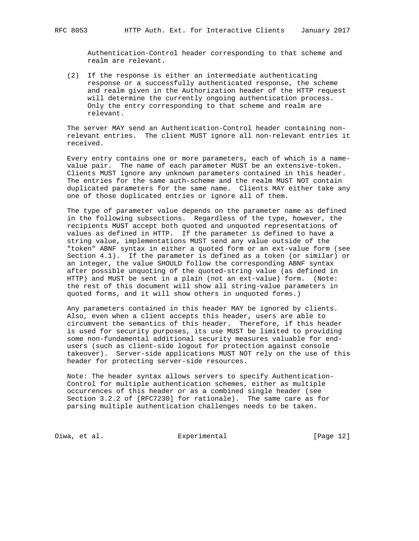Authentication-Control header corresponding to that scheme and realm are relevant.

 (2) If the response is either an intermediate authenticating response or a successfully authenticated response, the scheme and realm given in the Authorization header of the HTTP request will determine the currently ongoing authentication process. Only the entry corresponding to that scheme and realm are relevant.

 The server MAY send an Authentication-Control header containing non relevant entries. The client MUST ignore all non-relevant entries it received.

 Every entry contains one or more parameters, each of which is a name value pair. The name of each parameter MUST be an extensive-token. Clients MUST ignore any unknown parameters contained in this header. The entries for the same auth-scheme and the realm MUST NOT contain duplicated parameters for the same name. Clients MAY either take any one of those duplicated entries or ignore all of them.

 The type of parameter value depends on the parameter name as defined in the following subsections. Regardless of the type, however, the recipients MUST accept both quoted and unquoted representations of values as defined in HTTP. If the parameter is defined to have a string value, implementations MUST send any value outside of the "token" ABNF syntax in either a quoted form or an ext-value form (see Section 4.1). If the parameter is defined as a token (or similar) or an integer, the value SHOULD follow the corresponding ABNF syntax after possible unquoting of the quoted-string value (as defined in HTTP) and MUST be sent in a plain (not an ext-value) form. (Note: the rest of this document will show all string-value parameters in quoted forms, and it will show others in unquoted forms.)

 Any parameters contained in this header MAY be ignored by clients. Also, even when a client accepts this header, users are able to circumvent the semantics of this header. Therefore, if this header is used for security purposes, its use MUST be limited to providing some non-fundamental additional security measures valuable for end users (such as client-side logout for protection against console takeover). Server-side applications MUST NOT rely on the use of this header for protecting server-side resources.

 Note: The header syntax allows servers to specify Authentication- Control for multiple authentication schemes, either as multiple occurrences of this header or as a combined single header (see Section 3.2.2 of [RFC7230] for rationale). The same care as for parsing multiple authentication challenges needs to be taken.

Oiwa, et al. Subsection Experimental (Page 12)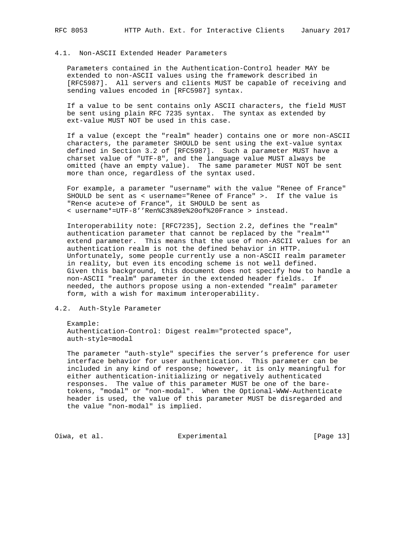## 4.1. Non-ASCII Extended Header Parameters

 Parameters contained in the Authentication-Control header MAY be extended to non-ASCII values using the framework described in [RFC5987]. All servers and clients MUST be capable of receiving and sending values encoded in [RFC5987] syntax.

 If a value to be sent contains only ASCII characters, the field MUST be sent using plain RFC 7235 syntax. The syntax as extended by ext-value MUST NOT be used in this case.

 If a value (except the "realm" header) contains one or more non-ASCII characters, the parameter SHOULD be sent using the ext-value syntax defined in Section 3.2 of [RFC5987]. Such a parameter MUST have a charset value of "UTF-8", and the language value MUST always be omitted (have an empty value). The same parameter MUST NOT be sent more than once, regardless of the syntax used.

 For example, a parameter "username" with the value "Renee of France" SHOULD be sent as < username="Renee of France" >. If the value is "Ren<e acute>e of France", it SHOULD be sent as < username\*=UTF-8''Ren%C3%89e%20of%20France > instead.

 Interoperability note: [RFC7235], Section 2.2, defines the "realm" authentication parameter that cannot be replaced by the "realm\*" extend parameter. This means that the use of non-ASCII values for an authentication realm is not the defined behavior in HTTP. Unfortunately, some people currently use a non-ASCII realm parameter in reality, but even its encoding scheme is not well defined. Given this background, this document does not specify how to handle a non-ASCII "realm" parameter in the extended header fields. If needed, the authors propose using a non-extended "realm" parameter form, with a wish for maximum interoperability.

## 4.2. Auth-Style Parameter

 Example: Authentication-Control: Digest realm="protected space", auth-style=modal

 The parameter "auth-style" specifies the server's preference for user interface behavior for user authentication. This parameter can be included in any kind of response; however, it is only meaningful for either authentication-initializing or negatively authenticated responses. The value of this parameter MUST be one of the bare tokens, "modal" or "non-modal". When the Optional-WWW-Authenticate header is used, the value of this parameter MUST be disregarded and the value "non-modal" is implied.

Oiwa, et al. Subsection Experimental Communication (Page 13)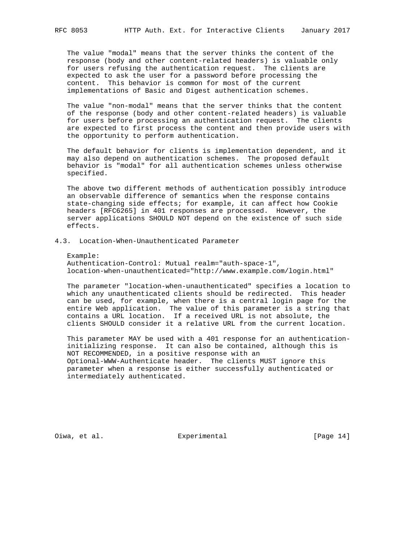The value "modal" means that the server thinks the content of the response (body and other content-related headers) is valuable only for users refusing the authentication request. The clients are expected to ask the user for a password before processing the content. This behavior is common for most of the current implementations of Basic and Digest authentication schemes.

 The value "non-modal" means that the server thinks that the content of the response (body and other content-related headers) is valuable for users before processing an authentication request. The clients are expected to first process the content and then provide users with the opportunity to perform authentication.

 The default behavior for clients is implementation dependent, and it may also depend on authentication schemes. The proposed default behavior is "modal" for all authentication schemes unless otherwise specified.

 The above two different methods of authentication possibly introduce an observable difference of semantics when the response contains state-changing side effects; for example, it can affect how Cookie headers [RFC6265] in 401 responses are processed. However, the server applications SHOULD NOT depend on the existence of such side effects.

# 4.3. Location-When-Unauthenticated Parameter

 Example: Authentication-Control: Mutual realm="auth-space-1", location-when-unauthenticated="http://www.example.com/login.html"

 The parameter "location-when-unauthenticated" specifies a location to which any unauthenticated clients should be redirected. This header can be used, for example, when there is a central login page for the entire Web application. The value of this parameter is a string that contains a URL location. If a received URL is not absolute, the clients SHOULD consider it a relative URL from the current location.

 This parameter MAY be used with a 401 response for an authentication initializing response. It can also be contained, although this is NOT RECOMMENDED, in a positive response with an Optional-WWW-Authenticate header. The clients MUST ignore this parameter when a response is either successfully authenticated or intermediately authenticated.

Oiwa, et al. Subsection Experimental Communication (Page 14)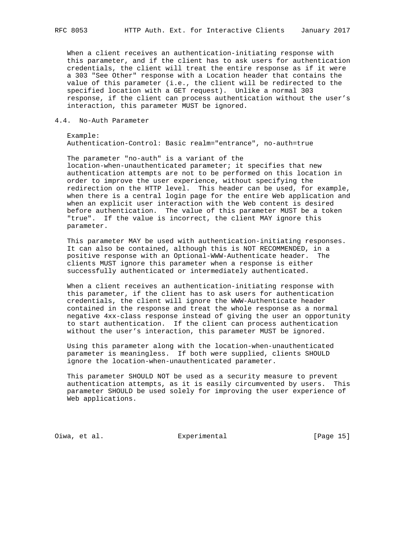When a client receives an authentication-initiating response with this parameter, and if the client has to ask users for authentication credentials, the client will treat the entire response as if it were a 303 "See Other" response with a Location header that contains the value of this parameter (i.e., the client will be redirected to the specified location with a GET request). Unlike a normal 303 response, if the client can process authentication without the user's interaction, this parameter MUST be ignored.

#### 4.4. No-Auth Parameter

 Example: Authentication-Control: Basic realm="entrance", no-auth=true

 The parameter "no-auth" is a variant of the location-when-unauthenticated parameter; it specifies that new authentication attempts are not to be performed on this location in order to improve the user experience, without specifying the redirection on the HTTP level. This header can be used, for example, when there is a central login page for the entire Web application and when an explicit user interaction with the Web content is desired before authentication. The value of this parameter MUST be a token "true". If the value is incorrect, the client MAY ignore this parameter.

 This parameter MAY be used with authentication-initiating responses. It can also be contained, although this is NOT RECOMMENDED, in a positive response with an Optional-WWW-Authenticate header. The clients MUST ignore this parameter when a response is either successfully authenticated or intermediately authenticated.

 When a client receives an authentication-initiating response with this parameter, if the client has to ask users for authentication credentials, the client will ignore the WWW-Authenticate header contained in the response and treat the whole response as a normal negative 4xx-class response instead of giving the user an opportunity to start authentication. If the client can process authentication without the user's interaction, this parameter MUST be ignored.

 Using this parameter along with the location-when-unauthenticated parameter is meaningless. If both were supplied, clients SHOULD ignore the location-when-unauthenticated parameter.

 This parameter SHOULD NOT be used as a security measure to prevent authentication attempts, as it is easily circumvented by users. This parameter SHOULD be used solely for improving the user experience of Web applications.

Oiwa, et al. Subsectimental Experimental [Page 15]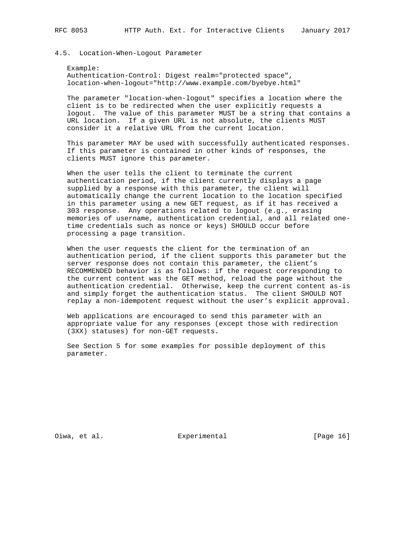#### 4.5. Location-When-Logout Parameter

 Example: Authentication-Control: Digest realm="protected space", location-when-logout="http://www.example.com/byebye.html"

 The parameter "location-when-logout" specifies a location where the client is to be redirected when the user explicitly requests a logout. The value of this parameter MUST be a string that contains a URL location. If a given URL is not absolute, the clients MUST consider it a relative URL from the current location.

 This parameter MAY be used with successfully authenticated responses. If this parameter is contained in other kinds of responses, the clients MUST ignore this parameter.

 When the user tells the client to terminate the current authentication period, if the client currently displays a page supplied by a response with this parameter, the client will automatically change the current location to the location specified in this parameter using a new GET request, as if it has received a 303 response. Any operations related to logout (e.g., erasing memories of username, authentication credential, and all related one time credentials such as nonce or keys) SHOULD occur before processing a page transition.

 When the user requests the client for the termination of an authentication period, if the client supports this parameter but the server response does not contain this parameter, the client's RECOMMENDED behavior is as follows: if the request corresponding to the current content was the GET method, reload the page without the authentication credential. Otherwise, keep the current content as-is and simply forget the authentication status. The client SHOULD NOT replay a non-idempotent request without the user's explicit approval.

 Web applications are encouraged to send this parameter with an appropriate value for any responses (except those with redirection (3XX) statuses) for non-GET requests.

 See Section 5 for some examples for possible deployment of this parameter.

Oiwa, et al. Subsection Experimental Communication (Page 16)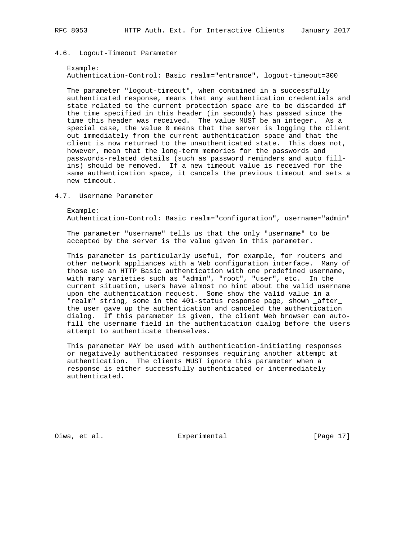#### 4.6. Logout-Timeout Parameter

 Example: Authentication-Control: Basic realm="entrance", logout-timeout=300

 The parameter "logout-timeout", when contained in a successfully authenticated response, means that any authentication credentials and state related to the current protection space are to be discarded if the time specified in this header (in seconds) has passed since the time this header was received. The value MUST be an integer. As a special case, the value 0 means that the server is logging the client out immediately from the current authentication space and that the client is now returned to the unauthenticated state. This does not, however, mean that the long-term memories for the passwords and passwords-related details (such as password reminders and auto fill ins) should be removed. If a new timeout value is received for the same authentication space, it cancels the previous timeout and sets a new timeout.

#### 4.7. Username Parameter

 Example: Authentication-Control: Basic realm="configuration", username="admin"

 The parameter "username" tells us that the only "username" to be accepted by the server is the value given in this parameter.

 This parameter is particularly useful, for example, for routers and other network appliances with a Web configuration interface. Many of those use an HTTP Basic authentication with one predefined username, with many varieties such as "admin", "root", "user", etc. In the current situation, users have almost no hint about the valid username upon the authentication request. Some show the valid value in a "realm" string, some in the 401-status response page, shown \_after\_ the user gave up the authentication and canceled the authentication dialog. If this parameter is given, the client Web browser can auto fill the username field in the authentication dialog before the users attempt to authenticate themselves.

 This parameter MAY be used with authentication-initiating responses or negatively authenticated responses requiring another attempt at authentication. The clients MUST ignore this parameter when a response is either successfully authenticated or intermediately authenticated.

Oiwa, et al. Subsection Experimental Communication (Page 17)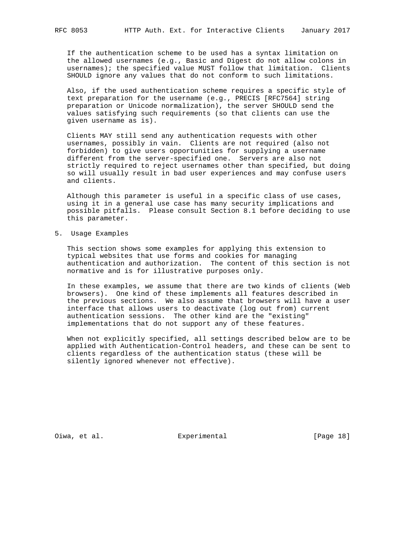If the authentication scheme to be used has a syntax limitation on the allowed usernames (e.g., Basic and Digest do not allow colons in usernames); the specified value MUST follow that limitation. Clients SHOULD ignore any values that do not conform to such limitations.

 Also, if the used authentication scheme requires a specific style of text preparation for the username (e.g., PRECIS [RFC7564] string preparation or Unicode normalization), the server SHOULD send the values satisfying such requirements (so that clients can use the given username as is).

 Clients MAY still send any authentication requests with other usernames, possibly in vain. Clients are not required (also not forbidden) to give users opportunities for supplying a username different from the server-specified one. Servers are also not strictly required to reject usernames other than specified, but doing so will usually result in bad user experiences and may confuse users and clients.

 Although this parameter is useful in a specific class of use cases, using it in a general use case has many security implications and possible pitfalls. Please consult Section 8.1 before deciding to use this parameter.

5. Usage Examples

 This section shows some examples for applying this extension to typical websites that use forms and cookies for managing authentication and authorization. The content of this section is not normative and is for illustrative purposes only.

 In these examples, we assume that there are two kinds of clients (Web browsers). One kind of these implements all features described in the previous sections. We also assume that browsers will have a user interface that allows users to deactivate (log out from) current authentication sessions. The other kind are the "existing" implementations that do not support any of these features.

 When not explicitly specified, all settings described below are to be applied with Authentication-Control headers, and these can be sent to clients regardless of the authentication status (these will be silently ignored whenever not effective).

Oiwa, et al. Subsection Experimental Communication (Page 18)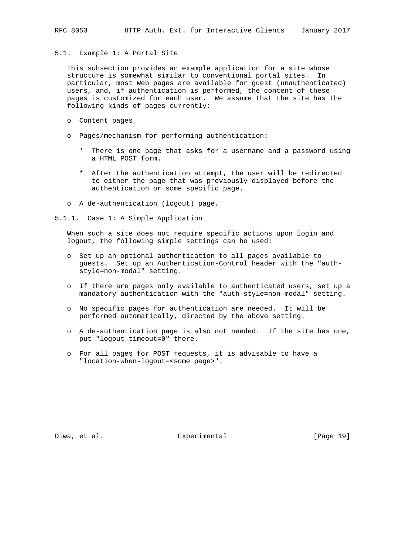5.1. Example 1: A Portal Site

 This subsection provides an example application for a site whose structure is somewhat similar to conventional portal sites. In particular, most Web pages are available for guest (unauthenticated) users, and, if authentication is performed, the content of these pages is customized for each user. We assume that the site has the following kinds of pages currently:

- o Content pages
- o Pages/mechanism for performing authentication:
	- \* There is one page that asks for a username and a password using a HTML POST form.
	- \* After the authentication attempt, the user will be redirected to either the page that was previously displayed before the authentication or some specific page.
- o A de-authentication (logout) page.
- 5.1.1. Case 1: A Simple Application

 When such a site does not require specific actions upon login and logout, the following simple settings can be used:

- o Set up an optional authentication to all pages available to guests. Set up an Authentication-Control header with the "auth style=non-modal" setting.
- o If there are pages only available to authenticated users, set up a mandatory authentication with the "auth-style=non-modal" setting.
- o No specific pages for authentication are needed. It will be performed automatically, directed by the above setting.
- o A de-authentication page is also not needed. If the site has one, put "logout-timeout=0" there.
- o For all pages for POST requests, it is advisable to have a "location-when-logout=<some page>".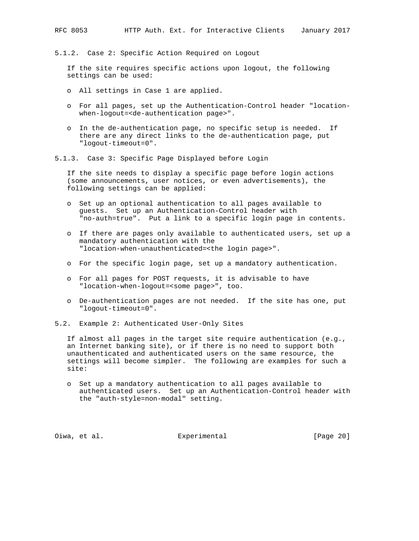5.1.2. Case 2: Specific Action Required on Logout

 If the site requires specific actions upon logout, the following settings can be used:

- o All settings in Case 1 are applied.
- o For all pages, set up the Authentication-Control header "location when-logout=<de-authentication page>".
- o In the de-authentication page, no specific setup is needed. If there are any direct links to the de-authentication page, put "logout-timeout=0".
- 5.1.3. Case 3: Specific Page Displayed before Login

 If the site needs to display a specific page before login actions (some announcements, user notices, or even advertisements), the following settings can be applied:

- o Set up an optional authentication to all pages available to guests. Set up an Authentication-Control header with "no-auth=true". Put a link to a specific login page in contents.
- o If there are pages only available to authenticated users, set up a mandatory authentication with the "location-when-unauthenticated=<the login page>".
- o For the specific login page, set up a mandatory authentication.
- o For all pages for POST requests, it is advisable to have "location-when-logout=<some page>", too.
- o De-authentication pages are not needed. If the site has one, put "logout-timeout=0".
- 5.2. Example 2: Authenticated User-Only Sites

 If almost all pages in the target site require authentication (e.g., an Internet banking site), or if there is no need to support both unauthenticated and authenticated users on the same resource, the settings will become simpler. The following are examples for such a site:

 o Set up a mandatory authentication to all pages available to authenticated users. Set up an Authentication-Control header with the "auth-style=non-modal" setting.

Oiwa, et al. Subsectimental Experimental [Page 20]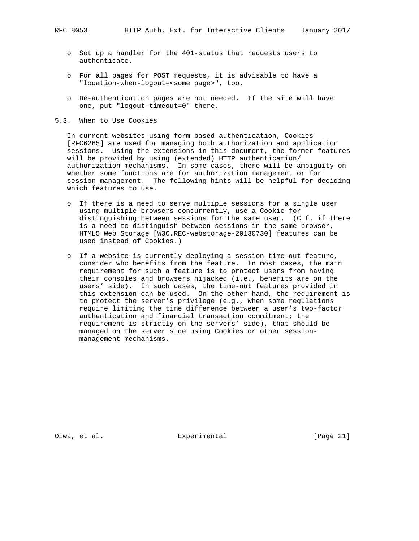- o Set up a handler for the 401-status that requests users to authenticate.
- o For all pages for POST requests, it is advisable to have a "location-when-logout=<some page>", too.
- o De-authentication pages are not needed. If the site will have one, put "logout-timeout=0" there.
- 5.3. When to Use Cookies

 In current websites using form-based authentication, Cookies [RFC6265] are used for managing both authorization and application sessions. Using the extensions in this document, the former features will be provided by using (extended) HTTP authentication/ authorization mechanisms. In some cases, there will be ambiguity on whether some functions are for authorization management or for session management. The following hints will be helpful for deciding which features to use.

- o If there is a need to serve multiple sessions for a single user using multiple browsers concurrently, use a Cookie for distinguishing between sessions for the same user. (C.f. if there is a need to distinguish between sessions in the same browser, HTML5 Web Storage [W3C.REC-webstorage-20130730] features can be used instead of Cookies.)
- o If a website is currently deploying a session time-out feature, consider who benefits from the feature. In most cases, the main requirement for such a feature is to protect users from having their consoles and browsers hijacked (i.e., benefits are on the users' side). In such cases, the time-out features provided in this extension can be used. On the other hand, the requirement is to protect the server's privilege (e.g., when some regulations require limiting the time difference between a user's two-factor authentication and financial transaction commitment; the requirement is strictly on the servers' side), that should be managed on the server side using Cookies or other session management mechanisms.

Oiwa, et al. Subsection Experimental Communication (Page 21)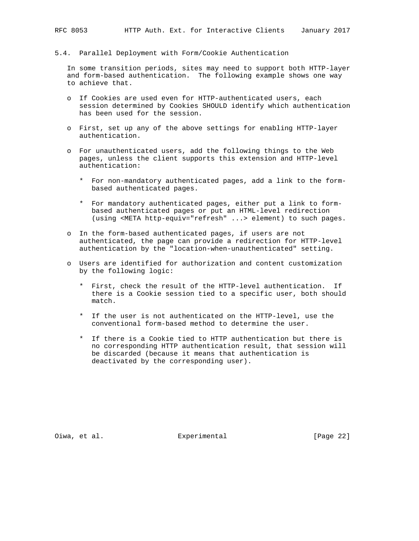5.4. Parallel Deployment with Form/Cookie Authentication

 In some transition periods, sites may need to support both HTTP-layer and form-based authentication. The following example shows one way to achieve that.

- o If Cookies are used even for HTTP-authenticated users, each session determined by Cookies SHOULD identify which authentication has been used for the session.
- o First, set up any of the above settings for enabling HTTP-layer authentication.
- o For unauthenticated users, add the following things to the Web pages, unless the client supports this extension and HTTP-level authentication:
	- \* For non-mandatory authenticated pages, add a link to the form based authenticated pages.
	- \* For mandatory authenticated pages, either put a link to form based authenticated pages or put an HTML-level redirection (using <META http-equiv="refresh" ...> element) to such pages.
- o In the form-based authenticated pages, if users are not authenticated, the page can provide a redirection for HTTP-level authentication by the "location-when-unauthenticated" setting.
- o Users are identified for authorization and content customization by the following logic:
	- \* First, check the result of the HTTP-level authentication. If there is a Cookie session tied to a specific user, both should match.
	- \* If the user is not authenticated on the HTTP-level, use the conventional form-based method to determine the user.
	- \* If there is a Cookie tied to HTTP authentication but there is no corresponding HTTP authentication result, that session will be discarded (because it means that authentication is deactivated by the corresponding user).

Oiwa, et al. Subsectimental Experimental (Page 22)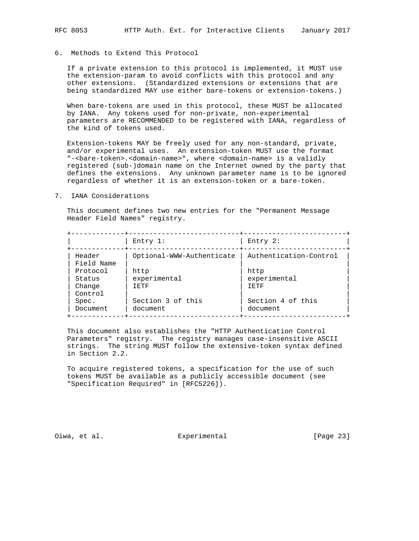## 6. Methods to Extend This Protocol

 If a private extension to this protocol is implemented, it MUST use the extension-param to avoid conflicts with this protocol and any other extensions. (Standardized extensions or extensions that are being standardized MAY use either bare-tokens or extension-tokens.)

 When bare-tokens are used in this protocol, these MUST be allocated by IANA. Any tokens used for non-private, non-experimental parameters are RECOMMENDED to be registered with IANA, regardless of the kind of tokens used.

 Extension-tokens MAY be freely used for any non-standard, private, and/or experimental uses. An extension-token MUST use the format "-<bare-token>.<domain-name>", where <domain-name> is a validly registered (sub-)domain name on the Internet owned by the party that defines the extensions. Any unknown parameter name is to be ignored regardless of whether it is an extension-token or a bare-token.

7. IANA Considerations

 This document defines two new entries for the "Permanent Message Header Field Names" registry.

|                      | Entry $1$ :               | Entry $2$ :            |
|----------------------|---------------------------|------------------------|
| Header<br>Field Name | Optional-WWW-Authenticate | Authentication-Control |
| Protocol             | http                      | http                   |
| Status               | experimental              | experimental           |
| Change               | 工民工民                      | 工民工民                   |
| Control              |                           |                        |
| Spec.                | Section 3 of this         | Section 4 of this      |
| Document             | document                  | document               |

 This document also establishes the "HTTP Authentication Control Parameters" registry. The registry manages case-insensitive ASCII strings. The string MUST follow the extensive-token syntax defined in Section 2.2.

 To acquire registered tokens, a specification for the use of such tokens MUST be available as a publicly accessible document (see "Specification Required" in [RFC5226]).

Oiwa, et al. Experimental [Page 23]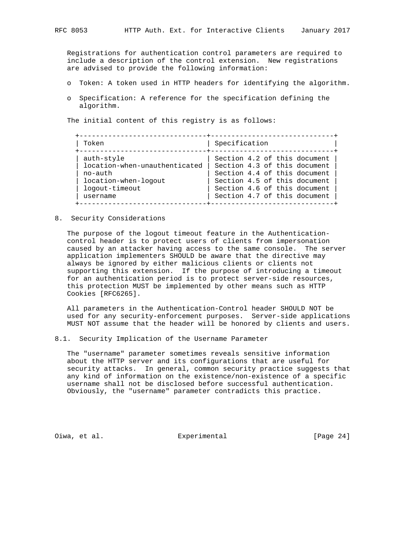Registrations for authentication control parameters are required to include a description of the control extension. New registrations are advised to provide the following information:

- o Token: A token used in HTTP headers for identifying the algorithm.
- o Specification: A reference for the specification defining the algorithm.

The initial content of this registry is as follows:

| Token                         | Specification                |
|-------------------------------|------------------------------|
| auth-style                    | Section 4.2 of this document |
| location-when-unauthenticated | Section 4.3 of this document |
| no-auth                       | Section 4.4 of this document |
| location-when-logout          | Section 4.5 of this document |
| logout-timeout                | Section 4.6 of this document |
| username                      | Section 4.7 of this document |

8. Security Considerations

 The purpose of the logout timeout feature in the Authentication control header is to protect users of clients from impersonation caused by an attacker having access to the same console. The server application implementers SHOULD be aware that the directive may always be ignored by either malicious clients or clients not supporting this extension. If the purpose of introducing a timeout for an authentication period is to protect server-side resources, this protection MUST be implemented by other means such as HTTP Cookies [RFC6265].

 All parameters in the Authentication-Control header SHOULD NOT be used for any security-enforcement purposes. Server-side applications MUST NOT assume that the header will be honored by clients and users.

8.1. Security Implication of the Username Parameter

 The "username" parameter sometimes reveals sensitive information about the HTTP server and its configurations that are useful for security attacks. In general, common security practice suggests that any kind of information on the existence/non-existence of a specific username shall not be disclosed before successful authentication. Obviously, the "username" parameter contradicts this practice.

Oiwa, et al. Subsection Experimental Communication (Page 24)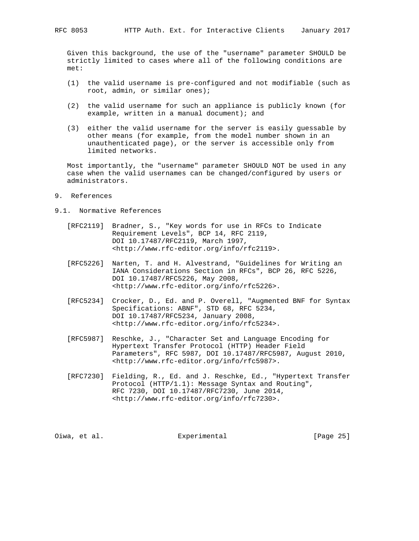Given this background, the use of the "username" parameter SHOULD be strictly limited to cases where all of the following conditions are met:

- (1) the valid username is pre-configured and not modifiable (such as root, admin, or similar ones);
- (2) the valid username for such an appliance is publicly known (for example, written in a manual document); and
- (3) either the valid username for the server is easily guessable by other means (for example, from the model number shown in an unauthenticated page), or the server is accessible only from limited networks.

 Most importantly, the "username" parameter SHOULD NOT be used in any case when the valid usernames can be changed/configured by users or administrators.

- 9. References
- 9.1. Normative References
	- [RFC2119] Bradner, S., "Key words for use in RFCs to Indicate Requirement Levels", BCP 14, RFC 2119, DOI 10.17487/RFC2119, March 1997, <http://www.rfc-editor.org/info/rfc2119>.
	- [RFC5226] Narten, T. and H. Alvestrand, "Guidelines for Writing an IANA Considerations Section in RFCs", BCP 26, RFC 5226, DOI 10.17487/RFC5226, May 2008, <http://www.rfc-editor.org/info/rfc5226>.
	- [RFC5234] Crocker, D., Ed. and P. Overell, "Augmented BNF for Syntax Specifications: ABNF", STD 68, RFC 5234, DOI 10.17487/RFC5234, January 2008, <http://www.rfc-editor.org/info/rfc5234>.
	- [RFC5987] Reschke, J., "Character Set and Language Encoding for Hypertext Transfer Protocol (HTTP) Header Field Parameters", RFC 5987, DOI 10.17487/RFC5987, August 2010, <http://www.rfc-editor.org/info/rfc5987>.
	- [RFC7230] Fielding, R., Ed. and J. Reschke, Ed., "Hypertext Transfer Protocol (HTTP/1.1): Message Syntax and Routing", RFC 7230, DOI 10.17487/RFC7230, June 2014, <http://www.rfc-editor.org/info/rfc7230>.

Oiwa, et al. Subsectimental Experimental [Page 25]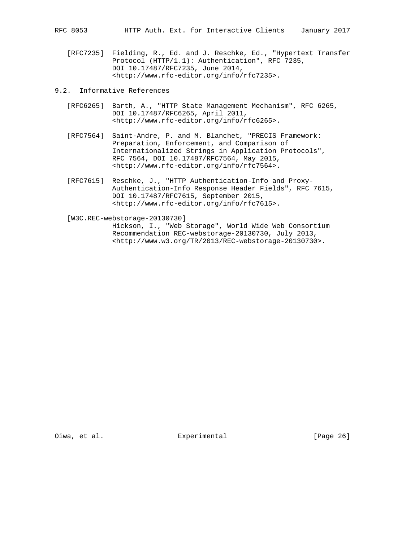- 
- [RFC7235] Fielding, R., Ed. and J. Reschke, Ed., "Hypertext Transfer Protocol (HTTP/1.1): Authentication", RFC 7235, DOI 10.17487/RFC7235, June 2014, <http://www.rfc-editor.org/info/rfc7235>.
- 9.2. Informative References
	- [RFC6265] Barth, A., "HTTP State Management Mechanism", RFC 6265, DOI 10.17487/RFC6265, April 2011, <http://www.rfc-editor.org/info/rfc6265>.
	- [RFC7564] Saint-Andre, P. and M. Blanchet, "PRECIS Framework: Preparation, Enforcement, and Comparison of Internationalized Strings in Application Protocols", RFC 7564, DOI 10.17487/RFC7564, May 2015, <http://www.rfc-editor.org/info/rfc7564>.
	- [RFC7615] Reschke, J., "HTTP Authentication-Info and Proxy- Authentication-Info Response Header Fields", RFC 7615, DOI 10.17487/RFC7615, September 2015, <http://www.rfc-editor.org/info/rfc7615>.

 [W3C.REC-webstorage-20130730] Hickson, I., "Web Storage", World Wide Web Consortium Recommendation REC-webstorage-20130730, July 2013, <http://www.w3.org/TR/2013/REC-webstorage-20130730>.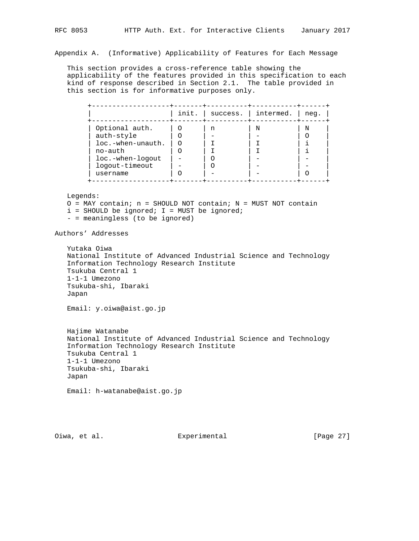Appendix A. (Informative) Applicability of Features for Each Message

 This section provides a cross-reference table showing the applicability of the features provided in this specification to each kind of response described in Section 2.1. The table provided in this section is for informative purposes only.

|                   | init. | success. | intermed. | neg. |
|-------------------|-------|----------|-----------|------|
| Optional auth.    |       | n        | N         | N    |
| auth-style        |       |          |           |      |
| loc.-when-unauth. |       |          |           |      |
| no-auth           |       |          |           |      |
| loc.-when-logout  |       |          |           |      |
| logout-timeout    |       |          |           |      |
| username          |       |          |           |      |

Legends:

 $O =$  MAY contain; n = SHOULD NOT contain; N = MUST NOT contain

- $i$  = SHOULD be ignored;  $I$  = MUST be ignored;
- = meaningless (to be ignored)

Authors' Addresses

 Yutaka Oiwa National Institute of Advanced Industrial Science and Technology Information Technology Research Institute Tsukuba Central 1 1-1-1 Umezono Tsukuba-shi, Ibaraki Japan

Email: y.oiwa@aist.go.jp

 Hajime Watanabe National Institute of Advanced Industrial Science and Technology Information Technology Research Institute Tsukuba Central 1 1-1-1 Umezono Tsukuba-shi, Ibaraki Japan

Email: h-watanabe@aist.go.jp

Oiwa, et al. Experimental [Page 27]